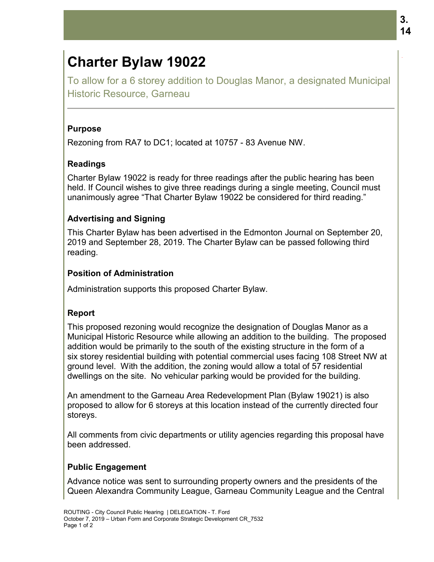# **Charter Bylaw 19022**

To allow for a 6 storey addition to Douglas Manor, a designated Municipal Historic Resource, Garneau

#### **Purpose**

Rezoning from RA7 to DC1; located at 10757

### **Readings**

Charter Bylaw 19022 is ready for three readings after the public hearing has been held. If Council wishes to give three readings during a single meeting, Council must held. If Council wishes to give three readings during a single meeting, Council n<br>unanimously agree "That Charter Bylaw 19022 be considered for third reading."

## **Advertising and Signing and**

This Charter Bylaw has been advertised in the Edmonton Journal on September 20, 2019 and September 28, 2019. The Charter Bylaw can be passed following third reading.

## **Position of Administration**

Administration supports this proposed Charter Bylaw.

# **Report**

Administration supports this proposed Charter Bylaw.<br>**Report**<br>This proposed rezoning would recognize the designation of Douglas Manor as a Municipal Historic Resource while allowing an addition to the building. The proposed addition would be primarily to the south of the existing structure in the form of a Municipal Historic Resource while allowing an addition to the building. The proposed<br>addition would be primarily to the south of the existing structure in the form of a<br>six storey residential building with potential comme ground level. With the addition, the zoning would allow a total of 57 residential dwellings on the site. No vehicular parking would be provided for the building. **EXECT BY LAW 19022**<br>
For a 6 storey addition to Douglas Manor, a de<br>
Resource, Garneau<br>
from RA7 to DC1; located at 10757 - 83 Avenue NW.<br>
S<br>
Sylaw 19022 is ready for three readings after the public<br>
suburbul wishes to gi **3. Chartfer Bylaw 190222**<br>To allow for a 6 storey addition to Douglas Manor, a designated Municipal<br>Historic Resource, Gameau<br>Purpose<br>Rezoning from RA7 to DC1; located at 10757 - 83 Avenue NW.<br>Readings<br>Partmer Bylew 19022 e Edmonton Journal on September 2(<br>Bylaw can be passed following third<br>the designation of Douglas Manor as a<br>paddition to the building. The propose<br>existing structure in the form of a<br>pommercial uses facing 108 Street NW<br>o

dwellings on the site. No vehicular parking would be provided for the building.<br>An amendment to the Garneau Area Redevelopment Plan (Bylaw 19021) is also proposed to allow for 6 storeys at this location instead of the currently directed four storeys.

All comments from civic departments or utility agencies regarding this proposal have been addressed.

# **Public Engagement**

Advance notice was sent to surrounding property owners and the presidents of the Queen Alexandra Community League, Garneau Community League and the Central .